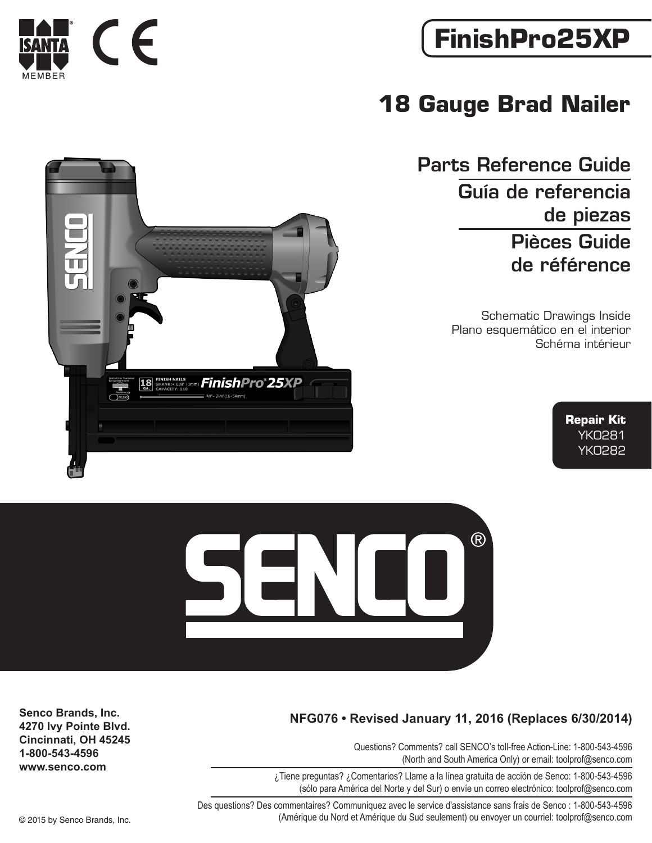<span id="page-0-0"></span>

## **18 Gauge Brad Nailer**

<span id="page-0-1"></span>Parts Reference Guide Guía de referencia de piezas Pièces Guide de référence

> Schematic Drawings Inside Plano esquemático en el interior Schéma intérieur

> > **Repair Kit** YK0281 YK0282



 $(R)$ 

Questions? Comments? call SENCO's toll-free Action-Line: 1-800-543-4596 (North and South America Only) or email: toolprof@senco.com

¿Tiene preguntas? ¿Comentarios? Llame a la línea gratuita de acción de Senco: 1-800-543-4596 (sólo para América del Norte y del Sur) o envíe un correo electrónico: toolprof@senco.com

Des questions? Des commentaires? Communiquez avec le service d'assistance sans frais de Senco : 1-800-543-4596 © 2015 by Senco Brands, Inc. (Amérique du Nord et Amérique du Sud seulement) ou envoyer un courriel: toolprof@senco.com

**Senco Brands, Inc. 4270 Ivy Pointe Blvd. Cincinnati, OH 45245 1-800-543-4596 www.senco.com**





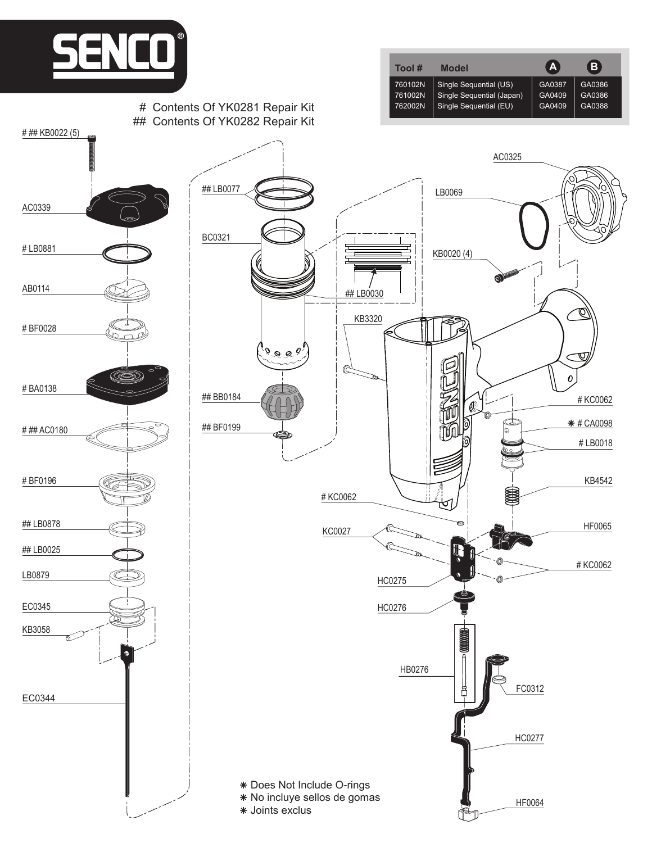

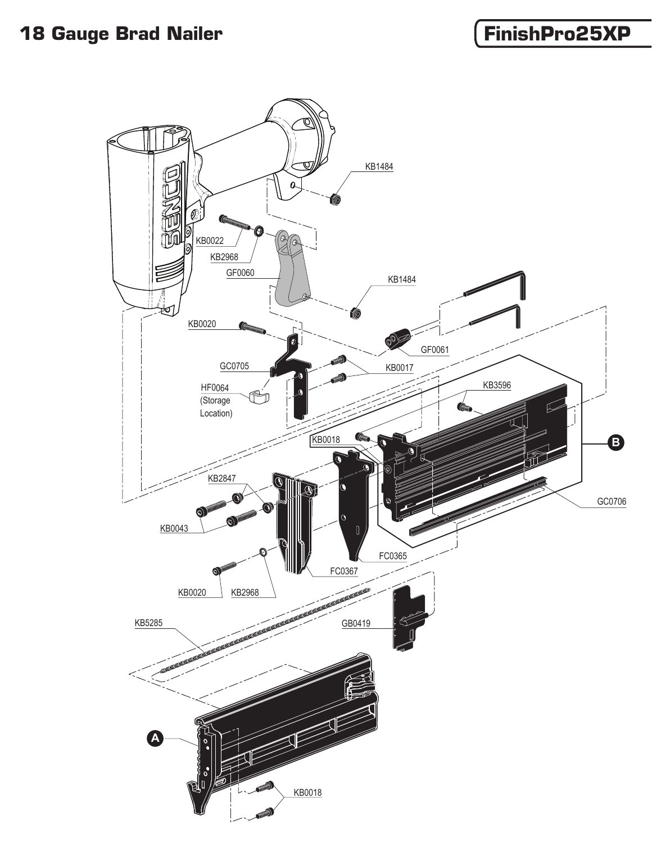